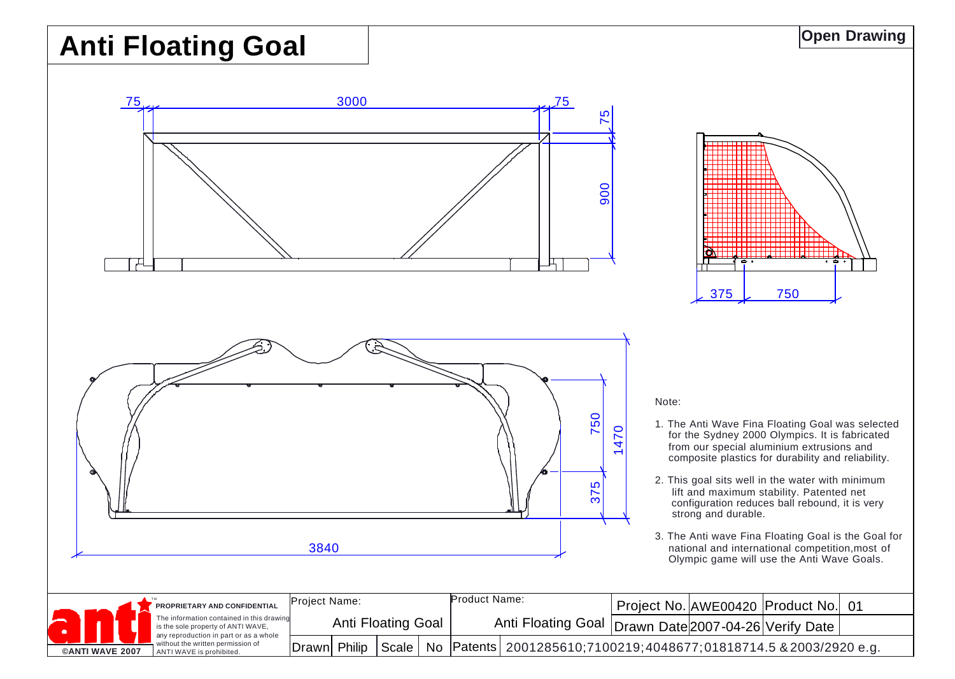## **Anti Floating Goal**





Note:

- 1. The Anti Wave Fina Floating Goal was selected for the Sydney 2000 Olympics. It is fabricated from our special aluminium extrusions and composite plastics for durability and reliability.
- 2. This goal sits well in the water with minimum lift and maximum stability. Patented net configuration reduces ball rebound, it is very strong and durable.
- 3. The Anti wave Fina Floating Goal is the Goal for national and international competition,most of Olympic game will use the Anti Wave Goals.

|  | <b>CANTI WAVE 2007</b> |  | PROPRIETARY AND CONFIDENTIAL                                                                                                                                                               | Proiect Name:      |  |           |  | Product Name:      |                                                                                 |  | Project No. AWE00420 Product No. 01 |  |
|--|------------------------|--|--------------------------------------------------------------------------------------------------------------------------------------------------------------------------------------------|--------------------|--|-----------|--|--------------------|---------------------------------------------------------------------------------|--|-------------------------------------|--|
|  |                        |  | The information contained in this drawing<br>is the sole property of ANTI WAVE,<br>any reproduction in part or as a whole<br>without the written permission of<br>ANTI WAVE is prohibited. | Anti Floating Goal |  |           |  | Anti Floating Goal |                                                                                 |  | Drawn Date 2007-04-26 Verify Date   |  |
|  |                        |  |                                                                                                                                                                                            | Drawn Philip       |  | Scale $ $ |  |                    | ,No             Patents  2001285610;7100219;4048677;01818714.5 & 2003/2920 e.g. |  |                                     |  |

**Open Drawing**